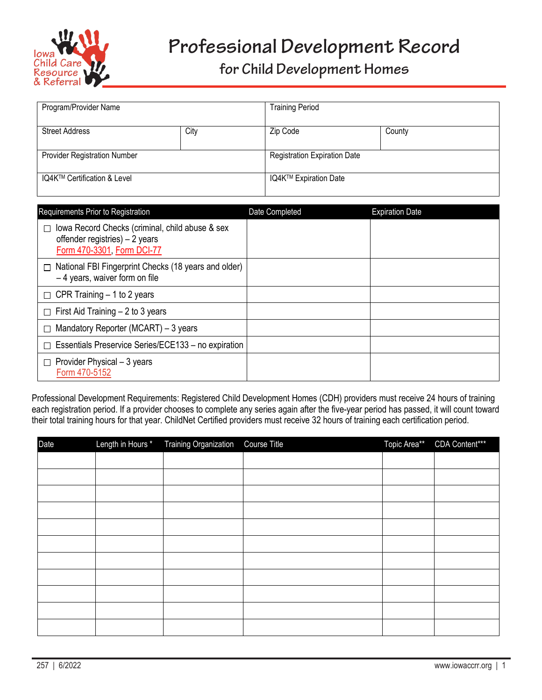

## **for Child Development Homes**

| Program/Provider Name               |      | <b>Training Period</b>              |        |
|-------------------------------------|------|-------------------------------------|--------|
| <b>Street Address</b>               | City | Zip Code                            | County |
| <b>Provider Registration Number</b> |      | <b>Registration Expiration Date</b> |        |
| IQ4K™ Certification & Level         |      | IQ4K™ Expiration Date               |        |

| Requirements Prior to Registration                                                                               | Date Completed | <b>Expiration Date</b> |
|------------------------------------------------------------------------------------------------------------------|----------------|------------------------|
| lowa Record Checks (criminal, child abuse & sex<br>offender registries) $-2$ years<br>Form 470-3301, Form DCI-77 |                |                        |
| National FBI Fingerprint Checks (18 years and older)<br>П<br>$-4$ years, waiver form on file                     |                |                        |
| $\Box$ CPR Training – 1 to 2 years                                                                               |                |                        |
| $\Box$ First Aid Training – 2 to 3 years                                                                         |                |                        |
| Mandatory Reporter (MCART) – 3 years                                                                             |                |                        |
| Essentials Preservice Series/ECE133 - no expiration                                                              |                |                        |
| Provider Physical - 3 years<br>Form 470-5152                                                                     |                |                        |

Professional Development Requirements: Registered Child Development Homes (CDH) providers must receive 24 hours of training each registration period. If a provider chooses to complete any series again after the five-year period has passed, it will count toward their total training hours for that year. ChildNet Certified providers must receive 32 hours of training each certification period.

| Date | Length in Hours * Training Organization | Course Title | Topic Area** | <b>CDA Content***</b> |
|------|-----------------------------------------|--------------|--------------|-----------------------|
|      |                                         |              |              |                       |
|      |                                         |              |              |                       |
|      |                                         |              |              |                       |
|      |                                         |              |              |                       |
|      |                                         |              |              |                       |
|      |                                         |              |              |                       |
|      |                                         |              |              |                       |
|      |                                         |              |              |                       |
|      |                                         |              |              |                       |
|      |                                         |              |              |                       |
|      |                                         |              |              |                       |